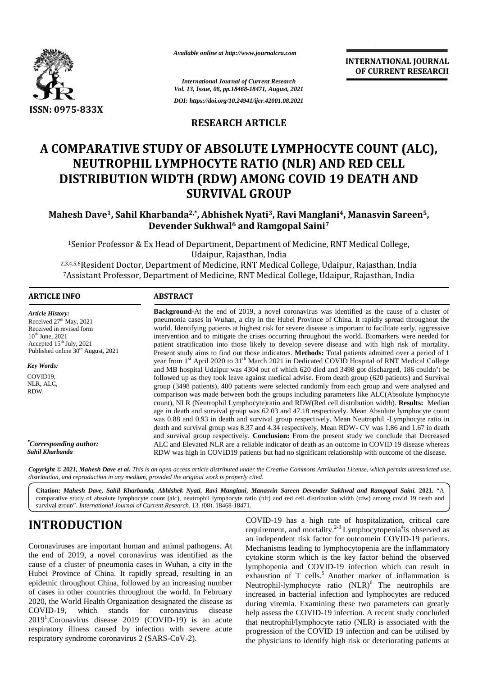

*Available online at http://www.journalcra.com*

**INTERNATIONAL JOURNAL OF CURRENT RESEARCH RESEARCH**

### **RESEARCH ARTICLE**

### **A COMPARATIVE STUDY OF ABSOLUTE LYMPHOCYTE COUNT (ALC), NEUTROPHIL LYMPHOCYTE RATIO (NLR) AND RED CELL DISTRIBUTION WIDTH (RDW) AMONG COVID 19 DEATH AND SURVIVAL GROUP** F ABSOLUTE LYMPHOCYTE COUN'<br>OCYTE RATIO (NLR) AND RED CE<br>(RDW) AMONG COVID 19 DEATH

#### **Mahesh Dave1, Sahil Kharbanda2,\*, Abhishek Nyati3, Ravi Manglani4, Manasvin Sareen5, Mahesh DaveandDevender Sukhwal<sup>6</sup> and Ramgopal Saini<sup>7</sup>**

|                                                                                                                                                                                                                                                                                                                                                                                                                                                                                                                                                                                                                                              | Available online at http://www.journalcra.com<br><b>International Journal of Current Research</b><br>Vol. 13, Issue, 08, pp.18468-18471, August, 2021                                                                                                                                                                                                                                                                                                                                                                                                                                                                                                                                                                                                                                                                                                                                                                                                                                                                                                                                                                                                                                                                                                                                                                                                                                                                                                                                                                                                                                                                                                                                                                                                                                                        |  | <b>INTERNATIONAL JOURNAL</b><br>OF CURRENT RESEARCH                                                                                                                                                                                                                                                                                                                                                                                                                                                                                                                                                                                                                                                                                   |  |
|----------------------------------------------------------------------------------------------------------------------------------------------------------------------------------------------------------------------------------------------------------------------------------------------------------------------------------------------------------------------------------------------------------------------------------------------------------------------------------------------------------------------------------------------------------------------------------------------------------------------------------------------|--------------------------------------------------------------------------------------------------------------------------------------------------------------------------------------------------------------------------------------------------------------------------------------------------------------------------------------------------------------------------------------------------------------------------------------------------------------------------------------------------------------------------------------------------------------------------------------------------------------------------------------------------------------------------------------------------------------------------------------------------------------------------------------------------------------------------------------------------------------------------------------------------------------------------------------------------------------------------------------------------------------------------------------------------------------------------------------------------------------------------------------------------------------------------------------------------------------------------------------------------------------------------------------------------------------------------------------------------------------------------------------------------------------------------------------------------------------------------------------------------------------------------------------------------------------------------------------------------------------------------------------------------------------------------------------------------------------------------------------------------------------------------------------------------------------|--|---------------------------------------------------------------------------------------------------------------------------------------------------------------------------------------------------------------------------------------------------------------------------------------------------------------------------------------------------------------------------------------------------------------------------------------------------------------------------------------------------------------------------------------------------------------------------------------------------------------------------------------------------------------------------------------------------------------------------------------|--|
|                                                                                                                                                                                                                                                                                                                                                                                                                                                                                                                                                                                                                                              |                                                                                                                                                                                                                                                                                                                                                                                                                                                                                                                                                                                                                                                                                                                                                                                                                                                                                                                                                                                                                                                                                                                                                                                                                                                                                                                                                                                                                                                                                                                                                                                                                                                                                                                                                                                                              |  |                                                                                                                                                                                                                                                                                                                                                                                                                                                                                                                                                                                                                                                                                                                                       |  |
| ISSN: 0975-833X                                                                                                                                                                                                                                                                                                                                                                                                                                                                                                                                                                                                                              | DOI: https://doi.org/10.24941/ijcr.42001.08.2021                                                                                                                                                                                                                                                                                                                                                                                                                                                                                                                                                                                                                                                                                                                                                                                                                                                                                                                                                                                                                                                                                                                                                                                                                                                                                                                                                                                                                                                                                                                                                                                                                                                                                                                                                             |  |                                                                                                                                                                                                                                                                                                                                                                                                                                                                                                                                                                                                                                                                                                                                       |  |
|                                                                                                                                                                                                                                                                                                                                                                                                                                                                                                                                                                                                                                              | <b>RESEARCH ARTICLE</b>                                                                                                                                                                                                                                                                                                                                                                                                                                                                                                                                                                                                                                                                                                                                                                                                                                                                                                                                                                                                                                                                                                                                                                                                                                                                                                                                                                                                                                                                                                                                                                                                                                                                                                                                                                                      |  |                                                                                                                                                                                                                                                                                                                                                                                                                                                                                                                                                                                                                                                                                                                                       |  |
|                                                                                                                                                                                                                                                                                                                                                                                                                                                                                                                                                                                                                                              | NEUTROPHIL LYMPHOCYTE RATIO (NLR) AND RED CELL<br>DISTRIBUTION WIDTH (RDW) AMONG COVID 19 DEATH AND<br><b>SURVIVAL GROUP</b>                                                                                                                                                                                                                                                                                                                                                                                                                                                                                                                                                                                                                                                                                                                                                                                                                                                                                                                                                                                                                                                                                                                                                                                                                                                                                                                                                                                                                                                                                                                                                                                                                                                                                 |  | A COMPARATIVE STUDY OF ABSOLUTE LYMPHOCYTE COUNT (ALC),                                                                                                                                                                                                                                                                                                                                                                                                                                                                                                                                                                                                                                                                               |  |
|                                                                                                                                                                                                                                                                                                                                                                                                                                                                                                                                                                                                                                              | Devender Sukhwal <sup>6</sup> and Ramgopal Saini <sup>7</sup>                                                                                                                                                                                                                                                                                                                                                                                                                                                                                                                                                                                                                                                                                                                                                                                                                                                                                                                                                                                                                                                                                                                                                                                                                                                                                                                                                                                                                                                                                                                                                                                                                                                                                                                                                |  | Mahesh Dave <sup>1</sup> , Sahil Kharbanda <sup>2,*</sup> , Abhishek Nyati <sup>3</sup> , Ravi Manglani <sup>4</sup> , Manasvin Sareen <sup>5</sup> ,                                                                                                                                                                                                                                                                                                                                                                                                                                                                                                                                                                                 |  |
|                                                                                                                                                                                                                                                                                                                                                                                                                                                                                                                                                                                                                                              | <sup>1</sup> Senior Professor & Ex Head of Department, Department of Medicine, RNT Medical College,                                                                                                                                                                                                                                                                                                                                                                                                                                                                                                                                                                                                                                                                                                                                                                                                                                                                                                                                                                                                                                                                                                                                                                                                                                                                                                                                                                                                                                                                                                                                                                                                                                                                                                          |  |                                                                                                                                                                                                                                                                                                                                                                                                                                                                                                                                                                                                                                                                                                                                       |  |
|                                                                                                                                                                                                                                                                                                                                                                                                                                                                                                                                                                                                                                              | Udaipur, Rajasthan, India<br>2,3,4,5,6 Resident Doctor, Department of Medicine, RNT Medical College, Udaipur, Rajasthan, India<br>7Assistant Professor, Department of Medicine, RNT Medical College, Udaipur, Rajasthan, India                                                                                                                                                                                                                                                                                                                                                                                                                                                                                                                                                                                                                                                                                                                                                                                                                                                                                                                                                                                                                                                                                                                                                                                                                                                                                                                                                                                                                                                                                                                                                                               |  |                                                                                                                                                                                                                                                                                                                                                                                                                                                                                                                                                                                                                                                                                                                                       |  |
| <b>ARTICLE INFO</b>                                                                                                                                                                                                                                                                                                                                                                                                                                                                                                                                                                                                                          | <b>ABSTRACT</b><br>Background-At the end of 2019, a novel coronavirus was identified as the cause of a cluster of<br>pneumonia cases in Wuhan, a city in the Hubei Province of China. It rapidly spread throughout the<br>world. Identifying patients at highest risk for severe disease is important to facilitate early, aggressive<br>intervention and to mitigate the crises occurring throughout the world. Biomarkers were needed for<br>patient stratification into those likely to develop severe disease and with high risk of mortality.<br>Present study aims to find out those indicators. Methods: Total patients admitted over a period of 1<br>year from 1st April 2020 to 31 <sup>th</sup> March 2021 in Dedicated COVID Hospital of RNT Medical College<br>and MB hospital Udaipur was 4304 out of which 620 died and 3498 got discharged, 186 couldn't be<br>followed up as they took leave against medical advise. From death group (620 patients) and Survival<br>group (3498 patients), 400 patients were selected randomly from each group and were analysed and<br>comparison was made between both the groups including parameters like ALC(Absolute lymphocyte<br>count), NLR (Neutrophil Lymphocyte) ratio and RDW(Red cell distribution width). Results: Median<br>age in death and survival group was 62.03 and 47.18 respectively. Mean Absolute lymphocyte count<br>was 0.88 and 0.93 in death and survival group respectively. Mean Neutrophil -Lymphocyte ratio in<br>death and survival group was 8.37 and 4.34 respectively. Mean RDW- CV was 1.86 and 1.67 in death<br>and survival group respectively. Conclusion: From the present study we conclude that Decreased<br>ALC and Elevated NLR are a reliable indicator of death as an outcome in COVID 19 disease whereas |  |                                                                                                                                                                                                                                                                                                                                                                                                                                                                                                                                                                                                                                                                                                                                       |  |
| <b>Article History:</b><br>Received 27 <sup>th</sup> May, 2021<br>Received in revised form<br>$10^{th}$ June, 2021<br>Accepted 15 <sup>th</sup> July, 2021<br>Published online 30 <sup>th</sup> August, 2021<br>Key Words:<br>COVID19.<br>NLR, ALC,<br>RDW.<br>"Corresponding author:                                                                                                                                                                                                                                                                                                                                                        |                                                                                                                                                                                                                                                                                                                                                                                                                                                                                                                                                                                                                                                                                                                                                                                                                                                                                                                                                                                                                                                                                                                                                                                                                                                                                                                                                                                                                                                                                                                                                                                                                                                                                                                                                                                                              |  |                                                                                                                                                                                                                                                                                                                                                                                                                                                                                                                                                                                                                                                                                                                                       |  |
| Sahil Kharbanda                                                                                                                                                                                                                                                                                                                                                                                                                                                                                                                                                                                                                              |                                                                                                                                                                                                                                                                                                                                                                                                                                                                                                                                                                                                                                                                                                                                                                                                                                                                                                                                                                                                                                                                                                                                                                                                                                                                                                                                                                                                                                                                                                                                                                                                                                                                                                                                                                                                              |  | RDW was high in COVID19 patients but had no significant relationship with outcome of the disease.<br>Copyright © 2021, Mahesh Dave et al. This is an open access article distributed under the Creative Commons Attribution License, which permits unrestricted use,                                                                                                                                                                                                                                                                                                                                                                                                                                                                  |  |
| distribution, and reproduction in any medium, provided the original work is properly cited.<br>survival group". International Journal of Current Research. 13. (08). 18468-18471.                                                                                                                                                                                                                                                                                                                                                                                                                                                            |                                                                                                                                                                                                                                                                                                                                                                                                                                                                                                                                                                                                                                                                                                                                                                                                                                                                                                                                                                                                                                                                                                                                                                                                                                                                                                                                                                                                                                                                                                                                                                                                                                                                                                                                                                                                              |  | Citation: Mahesh Dave, Sahil Kharbanda, Abhishek Nyati, Ravi Manglani, Manasvin Sareen Devender Sukhwal and Ramgopal Saini. 2021. "A<br>comparative study of absolute lymphocyte count (alc), neutrophil lymphocyte ratio (nlr) and red cell distribution width (rdw) among covid 19 death and                                                                                                                                                                                                                                                                                                                                                                                                                                        |  |
| <b>INTRODUCTION</b><br>Coronaviruses are important human and animal pathogens. At                                                                                                                                                                                                                                                                                                                                                                                                                                                                                                                                                            |                                                                                                                                                                                                                                                                                                                                                                                                                                                                                                                                                                                                                                                                                                                                                                                                                                                                                                                                                                                                                                                                                                                                                                                                                                                                                                                                                                                                                                                                                                                                                                                                                                                                                                                                                                                                              |  | COVID-19 has a high rate of hospitalization, critical care<br>requirement, and mortality. <sup>2-3</sup> Lymphocytopenia <sup>4</sup> is observed as<br>an independent risk factor for outcomein COVID-19 patients.                                                                                                                                                                                                                                                                                                                                                                                                                                                                                                                   |  |
| the end of 2019, a novel coronavirus was identified as the<br>cause of a cluster of pneumonia cases in Wuhan, a city in the<br>Hubei Province of China. It rapidly spread, resulting in an<br>epidemic throughout China, followed by an increasing number<br>of cases in other countries throughout the world. In February<br>2020, the World Health Organization designated the disease as<br>stands<br>$COVID-19$ ,<br>which<br>for coronavirus<br>disease<br>$20191$ . Coronavirus disease $2019$ (COVID-19) is an acute<br>respiratory illness caused by infection with severe acute<br>respiratory syndrome coronavirus 2 (SARS-CoV-2). |                                                                                                                                                                                                                                                                                                                                                                                                                                                                                                                                                                                                                                                                                                                                                                                                                                                                                                                                                                                                                                                                                                                                                                                                                                                                                                                                                                                                                                                                                                                                                                                                                                                                                                                                                                                                              |  | Mechanisms leading to lymphocytopenia are the inflammatory<br>cytokine storm which is the key factor behind the observed<br>lymphopenia and COVID-19 infection which can result in<br>exhaustion of T cells. <sup>5</sup> Another marker of inflammation is<br>Neutrophil-lymphocyte ratio (NLR) <sup>6</sup> The neutrophils are<br>increased in bacterial infection and lymphocytes are reduced<br>during viremia. Examining these two parameters can greatly<br>help assess the COVID 19 infection. A recent study concluded<br>that neutrophil/lymphocyte ratio (NLR) is associated with the<br>progression of the COVID 19 infection and can be utilised by<br>the physicians to identify high risk or deteriorating patients at |  |

# **INTRODUCTION INTRODUCTION**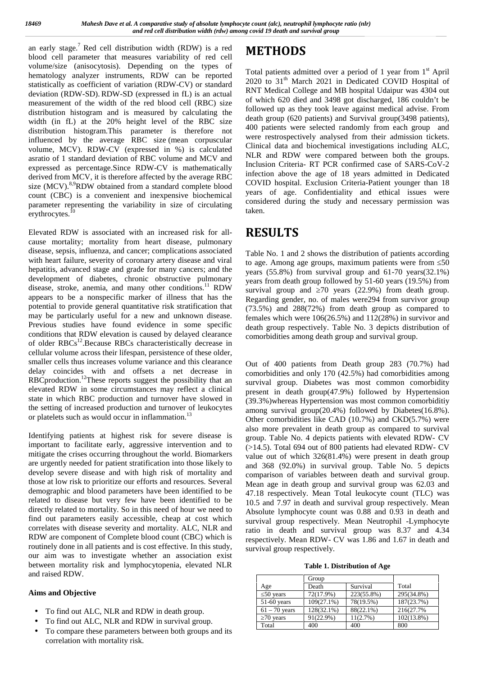an early stage.<sup>7</sup> Red cell distribution width (RDW) is a red  $M$ **F** blood cell parameter that measures variability of red cell volume/size (anisocytosis). Depending on the types of hematology analyzer instruments, RDW can be reported statistically as coefficient of variation (RDW-CV) or standard deviation (RDW-SD). RDW-SD (expressed in fL) is an actual measurement of the width of the red blood cell (RBC) size distribution histogram and is measured by calculating the width (in fL) at the 20% height level of the RBC size distribution histogram.This parameter is therefore not influenced by the average RBC size (mean corpuscular volume, MCV). RDW-CV (expressed in %) is calculated asratio of 1 standard deviation of RBC volume and MCV and expressed as percentage.Since RDW-CV is mathematically derived from MCV, it is therefore affected by the average RBC size  $(MCV)$ .<sup>8,9</sup>RDW obtained from a standard complete blood count (CBC) is a convenient and inexpensive biochemical parameter representing the variability in size of circulating erythrocytes.<sup>10</sup>

Elevated RDW is associated with an increased risk for all cause mortality; mortality from heart disease, pulmonary disease, sepsis, influenza, and cancer; complications associated with heart failure, severity of coronary artery disease and viral hepatitis, advanced stage and grade for many cancers; and the development of diabetes, chronic obstructive pulmonary disease, stroke, anemia, and many other conditions.<sup>11</sup> RDW appears to be a nonspecific marker of illness that has the potential to provide general quantitative risk stratification that may be particularly useful for a new and unknown disease. Previous studies have found evidence in some specific conditions that RDW elevation is caused by delayed clearance of older RBCs<sup>12</sup>.Because RBCs characteristically decrease in cellular volume across their lifespan, persistence of these older, smaller cells thus increases volume variance and this clearance delay coincides with and offsets a net decrease in RBCproduction.<sup>12</sup>These reports suggest the possibility that an elevated RDW in some circumstances may reflect a clinical state in which RBC production and turnover have slowed in the setting of increased production and turnover of leukocytes or platelets such as would occur in inflammation.<sup>13</sup>

Identifying patients at highest risk for severe disease is important to facilitate early, aggressive intervention and to mitigate the crises occurring throughout the world. Biomarkers are urgently needed for patient stratification into those likely to develop severe disease and with high risk of mortality and those at low risk to prioritize our efforts and resources. Several demographic and blood parameters have been identified to be related to disease but very few have been identified to be directly related to mortality. So in this need of hour we need to find out parameters easily accessible, cheap at cost which correlates with disease severity and mortality. ALC, NLR and RDW are component of Complete blood count (CBC) which is routinely done in all patients and is cost effective. In this study, our aim was to investigate whether an association exist between mortality risk and lymphocytopenia, elevated NLR and raised RDW.

#### **Aims and Objective**

- To find out ALC, NLR and RDW in death group.
- To find out ALC, NLR and RDW in survival group.
- To compare these parameters between both groups and its correlation with mortality risk.

# **METHODS**

Total patients admitted over a period of 1 year from  $1<sup>st</sup>$  April 2020 to 31<sup>th</sup> March 2021 in Dedicated COVID Hospital of RNT Medical College and MB hospital Udaipur was 4304 out of which 620 died and 3498 got discharged, 186 couldn't be followed up as they took leave against medical advise. From death group (620 patients) and Survival group(3498 patients), 400 patients were selected randomly from each group and were restrospectively analysed from their admission tickets. Clinical data and biochemical investigations including ALC, NLR and RDW were compared between both the groups. Inclusion Criteria- RT PCR confirmed case of SARS-CoV-2 infection above the age of 18 years admitted in Dedicated COVID hospital. Exclusion Criteria-Patient younger than 18 years of age. Confidentiality and ethical issues were considered during the study and necessary permission was taken.

# **RESULTS**

Table No. 1 and 2 shows the distribution of patients according to age. Among age groups, maximum patients were from 50 years (55.8%) from survival group and 61-70 years(32.1%) years from death group followed by 51-60 years (19.5%) from survival group and  $\overline{70}$  years (22.9%) from death group. Regarding gender, no. of males were294 from survivor group (73.5%) and 288(72%) from death group as compared to females which were 106(26.5%) and 112(28%) in survivor and death group respectively. Table No. 3 depicts distribution of comorbidities among death group and survival group.

Out of 400 patients from Death group 283 (70.7%) had comorbidities and only 170 (42.5%) had comorbidities among survival group. Diabetes was most common comorbidity present in death group(47.9%) followed by Hypertension (39.3%)whereas Hypertension was most common comorbiditiy among survival group(20.4%) followed by Diabetes(16.8%). Other comorbidities like CAD (10.7%) and CKD(5.7%) were also more prevalent in death group as compared to survival group. Table No. 4 depicts patients with elevated RDW- CV (>14.5). Total 694 out of 800 patients had elevated RDW- CV value out of which 326(81.4%) were present in death group and 368 (92.0%) in survival group. Table No. 5 depicts comparison of variables between death and survival group. Mean age in death group and survival group was 62.03 and 47.18 respectively. Mean Total leukocyte count (TLC) was 10.5 and 7.97 in death and survival group respectively. Mean Absolute lymphocyte count was 0.88 and 0.93 in death and survival group respectively. Mean Neutrophil -Lymphocyte ratio in death and survival group was 8.37 and 4.34 respectively. Mean RDW- CV was 1.86 and 1.67 in death and survival group respectively.

**Table 1. Distribution of Age**

|                 | Group      |            |               |
|-----------------|------------|------------|---------------|
| Age             | Death      | Survival   | Total         |
| 50 years        | 72(17.9%)  | 223(55.8%) | 295(34.8%)    |
| $51-60$ years   | 109(27.1%) | 78(19.5%)  | 187(23.7%)    |
| $61 - 70$ years | 128(32.1%) | 88(22.1%)  | 216(27.7%)    |
| 70 years        | 91(22.9%)  | 11(2.7%)   | $102(13.8\%)$ |
| Total           | 400        | 400        | 800           |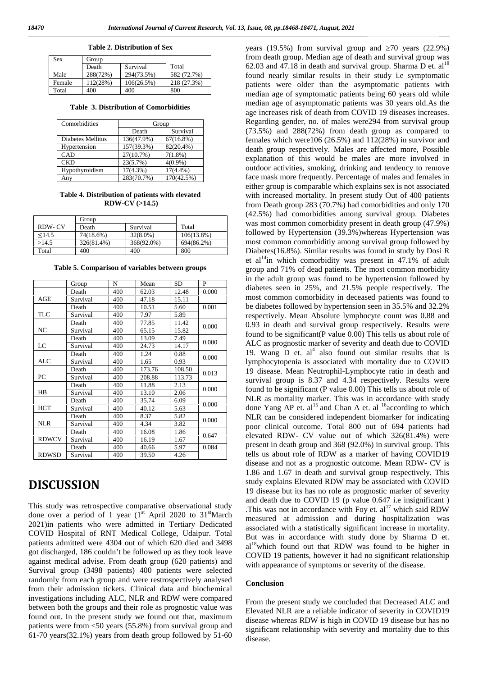| Sex    | Group    |            |             |
|--------|----------|------------|-------------|
|        | Death    | Survival   | Total       |
| Male   | 288(72%) | 294(73.5%) | 582 (72.7%) |
| Female | 112(28%) | 106(26.5%) | 218 (27.3%) |

**Table 2. Distribution of Sex**

**Table 3. Distribution of Comorbidities**

Total 400 400 800

| Comorbidities     | Group       |              |  |
|-------------------|-------------|--------------|--|
|                   | Death       | Survival     |  |
| Diabetes Mellitus | 136(47.9%)  | $67(16.8\%)$ |  |
| Hypertension      | 157(39.3%)  | 82(20.4%)    |  |
| CAD               | 27(10.7%)   | $7(1.8\%)$   |  |
| <b>CKD</b>        | 23(5.7%)    | $4(0.9\%)$   |  |
| Hypothyroidism    | $17(4.3\%)$ | $17(4.4\%)$  |  |
| Any               | 283(70.7%)  | 170(42.5%)   |  |

**Table 4. Distribution of patients with elevated RDW-CV (>14.5)**

|        | Group      |             |               |
|--------|------------|-------------|---------------|
| RDW-CV | Death      | Survival    | Total         |
| <14.5  | 74(18.6%)  | $32(8.0\%)$ | $106(13.8\%)$ |
| >14.5  | 326(81.4%) | 368(92.0%)  | 694(86.2%)    |
| Total  | 400        | 400         | 800           |

**Table 5. Comparison of variables between groups**

|              | Group    | N   | Mean   | SD     | P     |
|--------------|----------|-----|--------|--------|-------|
|              | Death    | 400 | 62.03  | 12.48  | 0.000 |
| AGE          | Survival | 400 | 47.18  | 15.11  |       |
|              | Death    | 400 | 10.51  | 5.60   | 0.001 |
| <b>TLC</b>   | Survival | 400 | 7.97   | 5.89   |       |
|              | Death    | 400 | 77.85  | 11.42  | 0.000 |
| NC           | Survival | 400 | 65.15  | 15.82  |       |
|              | Death    | 400 | 13.09  | 7.49   | 0.000 |
| LC           | Survival | 400 | 24.73  | 14.17  |       |
|              | Death    | 400 | 1.24   | 0.88   | 0.000 |
| <b>ALC</b>   | Survival | 400 | 1.65   | 0.93   |       |
|              | Death    | 400 | 173.76 | 108.50 | 0.013 |
| PC           | Survival | 400 | 208.88 | 113.73 |       |
|              | Death    | 400 | 11.88  | 2.13   | 0.000 |
| HB           | Survival | 400 | 13.10  | 2.06   |       |
|              | Death    | 400 | 35.74  | 6.09   |       |
| <b>HCT</b>   | Survival | 400 | 40.12  | 5.63   | 0.000 |
|              | Death    | 400 | 8.37   | 5.82   | 0.000 |
| <b>NLR</b>   | Survival | 400 | 4.34   | 3.82   |       |
|              | Death    | 400 | 16.08  | 1.86   | 0.647 |
| <b>RDWCV</b> | Survival | 400 | 16.19  | 1.67   |       |
|              | Death    | 400 | 40.66  | 5.97   | 0.084 |
| <b>RDWSD</b> | Survival | 400 | 39.50  | 4.26   |       |

# **DISCUSSION**

This study was retrospective comparative observational study done over a period of 1 year  $(1<sup>st</sup>$  April 2020 to 31<sup>st</sup>March 2021)in patients who were admitted in Tertiary Dedicated COVID Hospital of RNT Medical College, Udaipur. Total patients admitted were 4304 out of which 620 died and 3498 got discharged, 186 couldn't be followed up as they took leave against medical advise. From death group (620 patients) and Survival group (3498 patients) 400 patients were selected randomly from each group and were restrospectively analysed from their admission tickets. Clinical data and biochemical investigations including ALC, NLR and RDW were compared between both the groups and their role as prognostic value was found out. In the present study we found out that, maximum patients were from 50 years (55.8%) from survival group and 61-70 years(32.1%) years from death group followed by 51-60 years  $(19.5\%)$  from survival group and  $70$  years  $(22.9\%)$ from death group. Median age of death and survival group was 62.03 and 47.18 in death and survival group. Sharma D et.  $al^{18}$ found nearly similar results in their study i.e symptomatic patients were older than the asymptomatic patients with median age of symptomatic patients being 60 years old while median age of asymptomatic patients was 30 years old.As the age increases risk of death from COVID 19 diseases increases. Regarding gender, no. of males were294 from survival group (73.5%) and 288(72%) from death group as compared to females which were106 (26.5%) and 112(28%) in survivor and death group respectively. Males are affected more, Possible explanation of this would be males are more involved in outdoor activities, smoking, drinking and tendency to remove face mask more frequently. Percentage of males and females in either group is comparable which explains sex is not associated with increased mortality. In present study Out of 400 patients from Death group 283 (70.7%) had comorbidities and only 170 (42.5%) had comorbidities among survival group. Diabetes was most common comorbidity present in death group (47.9%) followed by Hypertension (39.3%)whereas Hypertension was most common comorbiditiy among survival group followed by Diabetes(16.8%). Similar results was found in study by Dosi R et al<sup>14</sup>in which comorbidity was present in  $47.1\%$  of adult group and 71% of dead patients. The most common morbidity in the adult group was found to be hypertension followed by diabetes seen in 25%, and 21.5% people respectively. The most common comorbidity in deceased patients was found to be diabetes followed by hypertension seen in 35.5% and 32.2% respectively. Mean Absolute lymphocyte count was 0.88 and 0.93 in death and survival group respectively. Results were found to be significant(P value 0.00) This tells us about role of ALC as prognostic marker of severity and death due to COVID 19. Wang  $D$  et. al<sup>4</sup> also found out similar results that is lymphocytopenia is associated with mortality due to COVID 19 disease. Mean Neutrophil-Lymphocyte ratio in death and survival group is 8.37 and 4.34 respectively. Results were found to be significant (P value 0.00) This tells us about role of NLR as mortality marker. This was in accordance with study done Yang AP et.  $al<sup>15</sup>$  and Chan A et. al <sup>16</sup> according to which NLR can be considered independent biomarker for indicating poor clinical outcome. Total 800 out of 694 patients had elevated RDW- CV value out of which 326(81.4%) were present in death group and 368 (92.0%) in survival group. This tells us about role of RDW as a marker of having COVID19 disease and not as a prognostic outcome. Mean RDW- CV is 1.86 and 1.67 in death and survival group respectively. This study explains Elevated RDW may be associated with COVID 19 disease but its has no role as prognostic marker of severity and death due to COVID 19 (p value 0.647 i.e insignificant ) .This was not in accordance with Foy et.  $al<sup>17</sup>$  which said RDW measured at admission and during hospitalization was associated with a statistically significant increase in mortality. But was in accordance with study done by Sharma D et.  $al<sup>18</sup>$  which found out that RDW was found to be higher in COVID 19 patients, however it had no significant relationship with appearance of symptoms or severity of the disease.

#### **Conclusion**

From the present study we concluded that Decreased ALC and Elevated NLR are a reliable indicator of severity in COVID19 disease whereas RDW is high in COVID 19 disease but has no significant relationship with severity and mortality due to this disease.